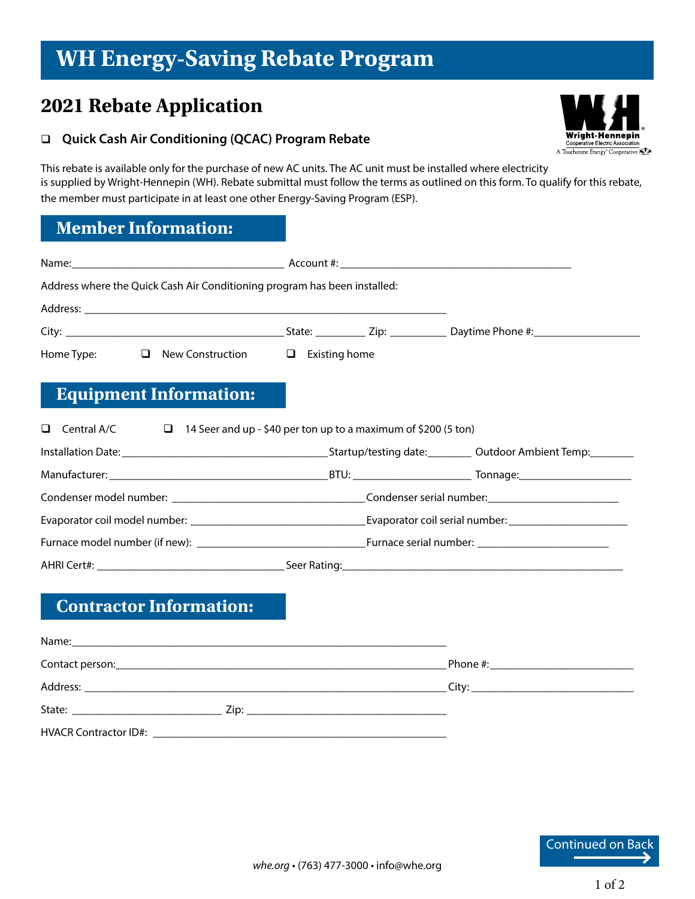# **WH Energy-Saving Rebate Program**

# **2021 Rebate Application**

#### **Quick Cash Air Conditioning (QCAC) Program Rebate**

® Wriaht Hennepin cooperative Electric Association A Touchstone Energy<sup>®</sup> Cooperative

This rebate is available only for the purchase of new AC units. The AC unit must be installed where electricity is supplied by Wright-Hennepin (WH). Rebate submittal must follow the terms as outlined on this form. To qualify for this rebate, the member must participate in at least one other Energy-Saving Program (ESP).

### **Member Information:**

| Address where the Quick Cash Air Conditioning program has been installed:                   |  |  |  |
|---------------------------------------------------------------------------------------------|--|--|--|
|                                                                                             |  |  |  |
|                                                                                             |  |  |  |
| $\Box$ New Construction $\Box$ Existing home<br>Home Type:                                  |  |  |  |
| <b>Equipment Information:</b>                                                               |  |  |  |
| $\Box$ 14 Seer and up - \$40 per ton up to a maximum of \$200 (5 ton)<br>$\Box$ Central A/C |  |  |  |
|                                                                                             |  |  |  |
|                                                                                             |  |  |  |
|                                                                                             |  |  |  |
|                                                                                             |  |  |  |
|                                                                                             |  |  |  |
|                                                                                             |  |  |  |
| <b>Contractor Information:</b>                                                              |  |  |  |
|                                                                                             |  |  |  |
|                                                                                             |  |  |  |
|                                                                                             |  |  |  |
|                                                                                             |  |  |  |
|                                                                                             |  |  |  |